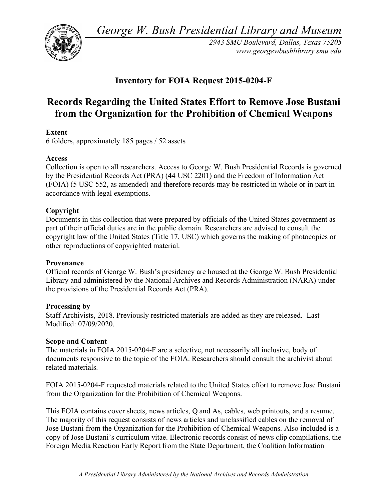*George W. Bush Presidential Library and Museum* 



*2943 SMU Boulevard, Dallas, Texas 75205 <www.georgewbushlibrary.smu.edu>* 

# **Inventory for FOIA Request 2015-0204-F**

# **Records Regarding the United States Effort to Remove Jose Bustani from the Organization for the Prohibition of Chemical Weapons**

# **Extent**

6 folders, approximately 185 pages / 52 assets

### **Access**

 Collection is open to all researchers. Access to George W. Bush Presidential Records is governed by the Presidential Records Act (PRA) (44 USC 2201) and the Freedom of Information Act (FOIA) (5 USC 552, as amended) and therefore records may be restricted in whole or in part in accordance with legal exemptions.

### **Copyright**

 Documents in this collection that were prepared by officials of the United States government as part of their official duties are in the public domain. Researchers are advised to consult the copyright law of the United States (Title 17, USC) which governs the making of photocopies or other reproductions of copyrighted material.

### **Provenance**

 Official records of George W. Bush's presidency are housed at the George W. Bush Presidential Library and administered by the National Archives and Records Administration (NARA) under the provisions of the Presidential Records Act (PRA).

### **Processing by**

 Staff Archivists, 2018. Previously restricted materials are added as they are released. Last Modified: 07/09/2020.

### **Scope and Content**

 The materials in FOIA 2015-0204-F are a selective, not necessarily all inclusive, body of documents responsive to the topic of the FOIA. Researchers should consult the archivist about related materials.

 FOIA 2015-0204-F requested materials related to the United States effort to remove Jose Bustani from the Organization for the Prohibition of Chemical Weapons.

 This FOIA contains cover sheets, news articles, Q and As, cables, web printouts, and a resume. The majority of this request consists of news articles and unclassified cables on the removal of Jose Bustani from the Organization for the Prohibition of Chemical Weapons. Also included is a copy of Jose Bustani's curriculum vitae. Electronic records consist of news clip compilations, the Foreign Media Reaction Early Report from the State Department, the Coalition Information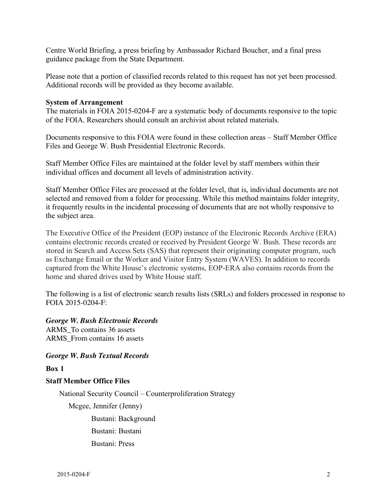Centre World Briefing, a press briefing by Ambassador Richard Boucher, and a final press guidance package from the State Department.

 Please note that a portion of classified records related to this request has not yet been processed. Additional records will be provided as they become available.

#### **System of Arrangement**

 The materials in FOIA 2015-0204-F are a systematic body of documents responsive to the topic of the FOIA. Researchers should consult an archivist about related materials.

 Documents responsive to this FOIA were found in these collection areas – Staff Member Office Files and George W. Bush Presidential Electronic Records.

 Staff Member Office Files are maintained at the folder level by staff members within their individual offices and document all levels of administration activity.

 Staff Member Office Files are processed at the folder level, that is, individual documents are not selected and removed from a folder for processing. While this method maintains folder integrity, it frequently results in the incidental processing of documents that are not wholly responsive to the subject area.

 The Executive Office of the President (EOP) instance of the Electronic Records Archive (ERA) contains electronic records created or received by President George W. Bush. These records are stored in Search and Access Sets (SAS) that represent their originating computer program, such as Exchange Email or the Worker and Visitor Entry System (WAVES). In addition to records captured from the White House's electronic systems, EOP-ERA also contains records from the home and shared drives used by White House staff.

 The following is a list of electronic search results lists (SRLs) and folders processed in response to FOIA 2015-0204-F:

 *George W. Bush Electronic Records* 

 ARMS\_To contains 36 assets ARMS\_From contains 16 assets

## *George W. Bush Textual Records*

#### **Box 1**

#### **Staff Member Office Files**

National Security Council – Counterproliferation Strategy

Mcgee, Jennifer (Jenny)

Bustani: Background

Bustani: Bustani

Bustani: Press